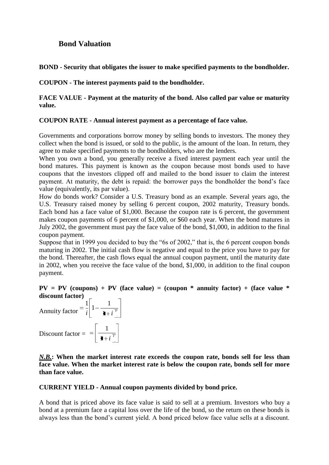# **Bond Valuation**

**BOND - Security that obligates the issuer to make specified payments to the bondholder.**

**COUPON - The interest payments paid to the bondholder.**

## **FACE VALUE - Payment at the maturity of the bond. Also called par value or maturity value.**

## **COUPON RATE - Annual interest payment as a percentage of face value.**

Governments and corporations borrow money by selling bonds to investors. The money they collect when the bond is issued, or sold to the public, is the amount of the loan. In return, they agree to make specified payments to the bondholders, who are the lenders.

When you own a bond, you generally receive a fixed interest payment each year until the bond matures. This payment is known as the coupon because most bonds used to have coupons that the investors clipped off and mailed to the bond issuer to claim the interest payment. At maturity, the debt is repaid: the borrower pays the bondholder the bond's face value (equivalently, its par value).

How do bonds work? Consider a U.S. Treasury bond as an example. Several years ago, the U.S. Treasury raised money by selling 6 percent coupon, 2002 maturity, Treasury bonds. Each bond has a face value of \$1,000. Because the coupon rate is 6 percent, the government makes coupon payments of 6 percent of \$1,000, or \$60 each year. When the bond matures in July 2002, the government must pay the face value of the bond, \$1,000, in addition to the final coupon payment.

Suppose that in 1999 you decided to buy the "6s of 2002," that is, the 6 percent coupon bonds maturing in 2002. The initial cash flow is negative and equal to the price you have to pay for the bond. Thereafter, the cash flows equal the annual coupon payment, until the maturity date in 2002, when you receive the face value of the bond, \$1,000, in addition to the final coupon payment.

# **PV** = **PV** (coupons) + **PV** (face value) = (coupon  $*$  annuity factor) + (face value  $*$ **discount factor)**

Annuity factor  $\left| \int_0^1 1 - \frac{1}{1 + i^{\frac{1}{i}}} \right|$ Discount factor =  $\frac{1}{\sqrt{1+i}}$  $\frac{1}{1}$  1 –  $\frac{1}{1}$ 1

*N.B.***: When the market interest rate exceeds the coupon rate, bonds sell for less than face value. When the market interest rate is below the coupon rate, bonds sell for more than face value.**

## **CURRENT YIELD - Annual coupon payments divided by bond price.**

A bond that is priced above its face value is said to sell at a premium. Investors who buy a bond at a premium face a capital loss over the life of the bond, so the return on these bonds is always less than the bond's current yield. A bond priced below face value sells at a discount.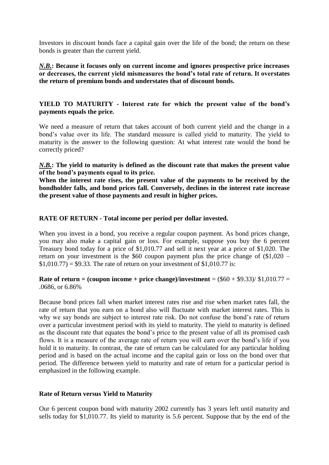Investors in discount bonds face a capital gain over the life of the bond; the return on these bonds is greater than the current yield.

*N.B.***: Because it focuses only on current income and ignores prospective price increases or decreases, the current yield mismeasures the bond's total rate of return. It overstates the return of premium bonds and understates that of discount bonds.**

## **YIELD TO MATURITY - Interest rate for which the present value of the bond's payments equals the price.**

We need a measure of return that takes account of both current yield and the change in a bond's value over its life. The standard measure is called yield to maturity. The yield to maturity is the answer to the following question: At what interest rate would the bond be correctly priced?

*N.B.***: The yield to maturity is defined as the discount rate that makes the present value of the bond's payments equal to its price.**

**When the interest rate rises, the present value of the payments to be received by the bondholder falls, and bond prices fall. Conversely, declines in the interest rate increase the present value of those payments and result in higher prices.**

## **RATE OF RETURN - Total income per period per dollar invested.**

When you invest in a bond, you receive a regular coupon payment. As bond prices change, you may also make a capital gain or loss. For example, suppose you buy the 6 percent Treasury bond today for a price of \$1,010.77 and sell it next year at a price of \$1,020. The return on your investment is the \$60 coupon payment plus the price change of  $(\$1,020 $1,010.77$  = \$9.33. The rate of return on your investment of \$1,010.77 is:

**Rate of return = (coupon income + price change)/investment** =  $(\$60 + \$9.33)$ / $\$1,010.77 =$ .0686, or 6.86%

Because bond prices fall when market interest rates rise and rise when market rates fall, the rate of return that you earn on a bond also will fluctuate with market interest rates. This is why we say bonds are subject to interest rate risk. Do not confuse the bond's rate of return over a particular investment period with its yield to maturity. The yield to maturity is defined as the discount rate that equates the bond's price to the present value of all its promised cash flows. It is a measure of the average rate of return you will earn over the bond's life if you hold it to maturity. In contrast, the rate of return can be calculated for any particular holding period and is based on the actual income and the capital gain or loss on the bond over that period. The difference between yield to maturity and rate of return for a particular period is emphasized in the following example.

## **Rate of Return versus Yield to Maturity**

Our 6 percent coupon bond with maturity 2002 currently has 3 years left until maturity and sells today for \$1,010.77. Its yield to maturity is 5.6 percent. Suppose that by the end of the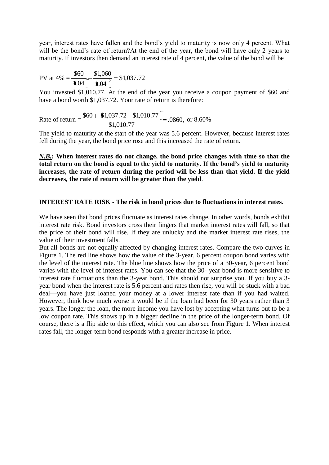year, interest rates have fallen and the bond's yield to maturity is now only 4 percent. What will be the bond's rate of return?At the end of the year, the bond will have only 2 years to maturity. If investors then demand an interest rate of 4 percent, the value of the bond will be

$$
PV at 4\% = \frac{$60}{1.04} + \frac{$1,060}{$1.04} = $1,037.72
$$

You invested \$1,010.77. At the end of the year you receive a coupon payment of \$60 and have a bond worth \$1,037.72. Your rate of return is therefore:

Rate of return =  $\frac{\phi(0) + \phi(0.07772)}{\phi(0.07772)} = .0860$ , \$1,010.77  $\frac{$60 + $1,037.72 - $1,010.77}{1,037.72 - $1,010.77} = .0860$ , or 8.60%

The yield to maturity at the start of the year was 5.6 percent. However, because interest rates fell during the year, the bond price rose and this increased the rate of return.

*N.B.***: When interest rates do not change, the bond price changes with time so that the total return on the bond is equal to the yield to maturity. If the bond's yield to maturity increases, the rate of return during the period will be less than that yield. If the yield decreases, the rate of return will be greater than the yield**.

#### **INTEREST RATE RISK - The risk in bond prices due to fluctuations in interest rates.**

We have seen that bond prices fluctuate as interest rates change. In other words, bonds exhibit interest rate risk. Bond investors cross their fingers that market interest rates will fall, so that the price of their bond will rise. If they are unlucky and the market interest rate rises, the value of their investment falls.

But all bonds are not equally affected by changing interest rates. Compare the two curves in Figure 1. The red line shows how the value of the 3-year, 6 percent coupon bond varies with the level of the interest rate. The blue line shows how the price of a 30-year, 6 percent bond varies with the level of interest rates. You can see that the 30- year bond is more sensitive to interest rate fluctuations than the 3-year bond. This should not surprise you. If you buy a 3 year bond when the interest rate is 5.6 percent and rates then rise, you will be stuck with a bad deal—you have just loaned your money at a lower interest rate than if you had waited. However, think how much worse it would be if the loan had been for 30 years rather than 3 years. The longer the loan, the more income you have lost by accepting what turns out to be a low coupon rate. This shows up in a bigger decline in the price of the longer-term bond. Of course, there is a flip side to this effect, which you can also see from Figure 1. When interest rates fall, the longer-term bond responds with a greater increase in price.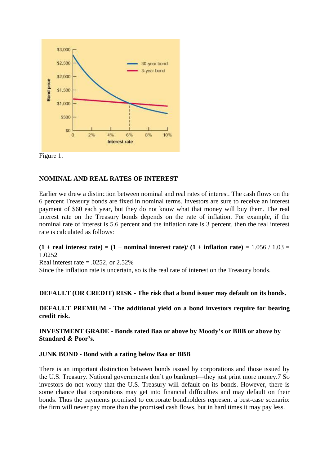



## **NOMINAL AND REAL RATES OF INTEREST**

Earlier we drew a distinction between nominal and real rates of interest. The cash flows on the 6 percent Treasury bonds are fixed in nominal terms. Investors are sure to receive an interest payment of \$60 each year, but they do not know what that money will buy them. The real interest rate on the Treasury bonds depends on the rate of inflation. For example, if the nominal rate of interest is 5.6 percent and the inflation rate is 3 percent, then the real interest rate is calculated as follows:

#### $(1 + real interest rate) = (1 + nominal interest rate) / (1 + inflation rate) = 1.056 / 1.03 =$ 1.0252

Real interest rate  $= .0252$ , or 2.52%

Since the inflation rate is uncertain, so is the real rate of interest on the Treasury bonds.

#### **DEFAULT (OR CREDIT) RISK - The risk that a bond issuer may default on its bonds.**

**DEFAULT PREMIUM - The additional yield on a bond investors require for bearing credit risk.**

**INVESTMENT GRADE - Bonds rated Baa or above by Moody's or BBB or above by Standard & Poor's.**

#### **JUNK BOND - Bond with a rating below Baa or BBB**

There is an important distinction between bonds issued by corporations and those issued by the U.S. Treasury. National governments don't go bankrupt—they just print more money.7 So investors do not worry that the U.S. Treasury will default on its bonds. However, there is some chance that corporations may get into financial difficulties and may default on their bonds. Thus the payments promised to corporate bondholders represent a best-case scenario: the firm will never pay more than the promised cash flows, but in hard times it may pay less.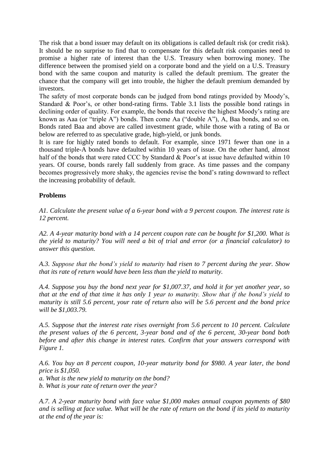The risk that a bond issuer may default on its obligations is called default risk (or credit risk). It should be no surprise to find that to compensate for this default risk companies need to promise a higher rate of interest than the U.S. Treasury when borrowing money. The difference between the promised yield on a corporate bond and the yield on a U.S. Treasury bond with the same coupon and maturity is called the default premium. The greater the chance that the company will get into trouble, the higher the default premium demanded by investors.

The safety of most corporate bonds can be judged from bond ratings provided by Moody's, Standard & Poor's, or other bond-rating firms. Table 3.1 lists the possible bond ratings in declining order of quality. For example, the bonds that receive the highest Moody's rating are known as Aaa (or "triple A") bonds. Then come Aa ("double A"),  $\overline{A}$ , Baa bonds, and so on. Bonds rated Baa and above are called investment grade, while those with a rating of Ba or below are referred to as speculative grade, high-yield, or junk bonds.

It is rare for highly rated bonds to default. For example, since 1971 fewer than one in a thousand triple-A bonds have defaulted within 10 years of issue. On the other hand, almost half of the bonds that were rated CCC by Standard & Poor's at issue have defaulted within 10 years. Of course, bonds rarely fall suddenly from grace. As time passes and the company becomes progressively more shaky, the agencies revise the bond's rating downward to reflect the increasing probability of default.

#### **Problems**

*A1. Calculate the present value of a 6-year bond with a 9 percent coupon. The interest rate is 12 percent.*

*A2. A 4-year maturity bond with a 14 percent coupon rate can be bought for \$1,200. What is the yield to maturity? You will need a bit of trial and error (or a financial calculator) to answer this question.*

*A.3. Suppose that the bond's yield to maturity had risen to 7 percent during the year. Show that its rate of return would have been less than the yield to maturity.*

*A.4. Suppose you buy the bond next year for \$1,007.37, and hold it for yet another year, so that at the end of that time it has only 1 year to maturity. Show that if the bond's yield to maturity is still 5.6 percent, your rate of return also will be 5.6 percent and the bond price will be \$1,003.79.*

*A.5. Suppose that the interest rate rises overnight from 5.6 percent to 10 percent. Calculate the present values of the 6 percent, 3-year bond and of the 6 percent, 30-year bond both before and after this change in interest rates. Confirm that your answers correspond with Figure 1.*

*A.6. You buy an 8 percent coupon, 10-year maturity bond for \$980. A year later, the bond price is \$1,050.*

*a. What is the new yield to maturity on the bond?*

*b. What is your rate of return over the year?*

*A.7. A 2-year maturity bond with face value \$1,000 makes annual coupon payments of \$80 and is selling at face value. What will be the rate of return on the bond if its yield to maturity at the end of the year is:*